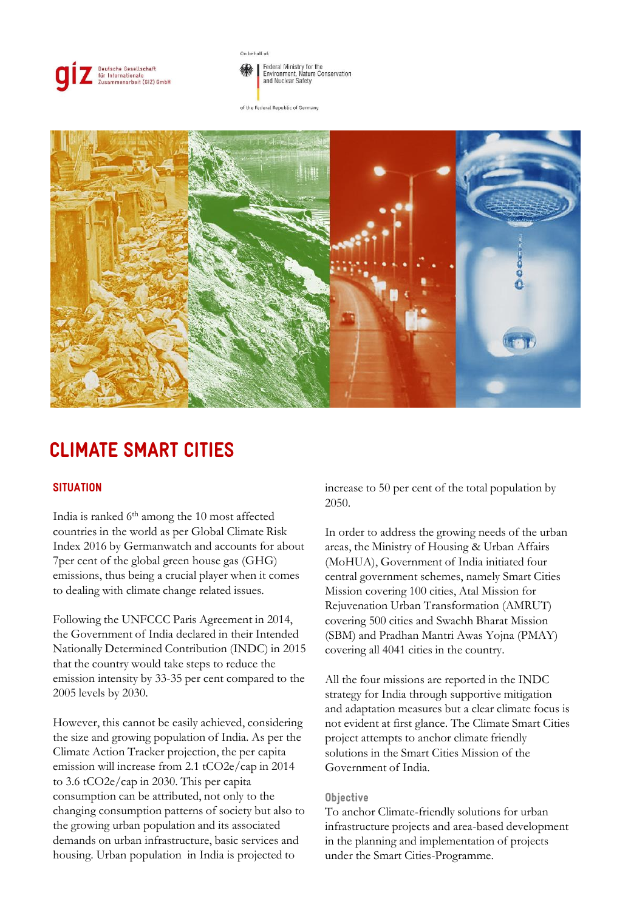

On behalf of:

Federal Ministry for the<br>Environment, Nature Conservation and Nuclear Safety

of the Federal Republic of Germany



# CLIMATE SMART CITIES

## **SITUATION**

India is ranked 6<sup>th</sup> among the 10 most affected countries in the world as per Global Climate Risk Index 2016 by Germanwatch and accounts for about 7per cent of the global green house gas (GHG) emissions, thus being a crucial player when it comes to dealing with climate change related issues.

Following the UNFCCC Paris Agreement in 2014, the Government of India declared in their Intended Nationally Determined Contribution (INDC) in 2015 that the country would take steps to reduce the emission intensity by 33-35 per cent compared to the 2005 levels by 2030.

However, this cannot be easily achieved, considering the size and growing population of India. As per the Climate Action Tracker projection, the per capita emission will increase from 2.1 tCO2e/cap in 2014 to 3.6 tCO2e/cap in 2030. This per capita consumption can be attributed, not only to the changing consumption patterns of society but also to the growing urban population and its associated demands on urban infrastructure, basic services and housing. Urban population in India is projected to

increase to 50 per cent of the total population by 2050.

In order to address the growing needs of the urban areas, the Ministry of Housing & Urban Affairs (MoHUA), Government of India initiated four central government schemes, namely Smart Cities Mission covering 100 cities, Atal Mission for Rejuvenation Urban Transformation (AMRUT) covering 500 cities and Swachh Bharat Mission (SBM) and Pradhan Mantri Awas Yojna (PMAY) covering all 4041 cities in the country.

All the four missions are reported in the INDC strategy for India through supportive mitigation and adaptation measures but a clear climate focus is not evident at first glance. The Climate Smart Cities project attempts to anchor climate friendly solutions in the Smart Cities Mission of the Government of India.

#### **Objective**

To anchor Climate-friendly solutions for urban infrastructure projects and area-based development in the planning and implementation of projects under the Smart Cities-Programme.